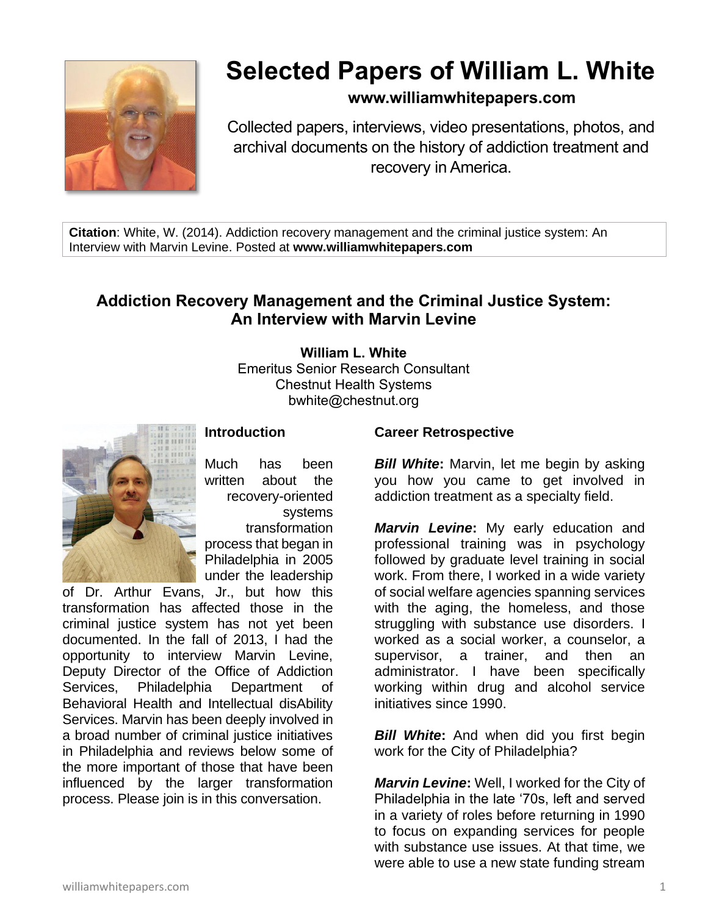

# **Selected Papers of William L. White**

# **www.williamwhitepapers.com**

Collected papers, interviews, video presentations, photos, and archival documents on the history of addiction treatment and recovery in America.

**Citation**: White, W. (2014). Addiction recovery management and the criminal justice system: An Interview with Marvin Levine. Posted at **www.williamwhitepapers.com**

# **Addiction Recovery Management and the Criminal Justice System: An Interview with Marvin Levine**

**William L. White** Emeritus Senior Research Consultant Chestnut Health Systems bwhite@chestnut.org



## **Introduction**

Much has been written about the recovery-oriented systems transformation process that began in Philadelphia in 2005 under the leadership

of Dr. Arthur Evans, Jr., but how this transformation has affected those in the criminal justice system has not yet been documented. In the fall of 2013, I had the opportunity to interview Marvin Levine, Deputy Director of the Office of Addiction Services, Philadelphia Department of Behavioral Health and Intellectual disAbility Services. Marvin has been deeply involved in a broad number of criminal justice initiatives in Philadelphia and reviews below some of the more important of those that have been influenced by the larger transformation process. Please join is in this conversation.

#### **Career Retrospective**

*Bill White***:** Marvin, let me begin by asking you how you came to get involved in addiction treatment as a specialty field.

*Marvin Levine***:** My early education and professional training was in psychology followed by graduate level training in social work. From there, I worked in a wide variety of social welfare agencies spanning services with the aging, the homeless, and those struggling with substance use disorders. I worked as a social worker, a counselor, a supervisor, a trainer, and then an administrator. I have been specifically working within drug and alcohol service initiatives since 1990.

**Bill White:** And when did you first begin work for the City of Philadelphia?

*Marvin Levine***:** Well, I worked for the City of Philadelphia in the late '70s, left and served in a variety of roles before returning in 1990 to focus on expanding services for people with substance use issues. At that time, we were able to use a new state funding stream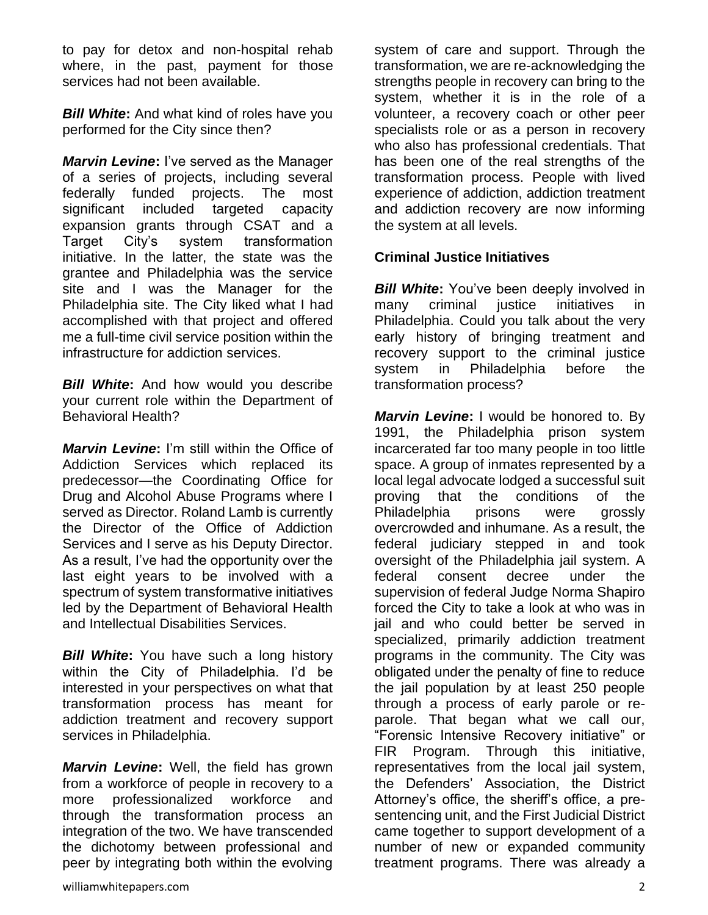to pay for detox and non-hospital rehab where, in the past, payment for those services had not been available.

*Bill White***:** And what kind of roles have you performed for the City since then?

*Marvin Levine***:** I've served as the Manager of a series of projects, including several federally funded projects. The most significant included targeted capacity expansion grants through CSAT and a Target City's system transformation initiative. In the latter, the state was the grantee and Philadelphia was the service site and I was the Manager for the Philadelphia site. The City liked what I had accomplished with that project and offered me a full-time civil service position within the infrastructure for addiction services.

*Bill White***:** And how would you describe your current role within the Department of Behavioral Health?

*Marvin Levine***:** I'm still within the Office of Addiction Services which replaced its predecessor—the Coordinating Office for Drug and Alcohol Abuse Programs where I served as Director. Roland Lamb is currently the Director of the Office of Addiction Services and I serve as his Deputy Director. As a result, I've had the opportunity over the last eight years to be involved with a spectrum of system transformative initiatives led by the Department of Behavioral Health and Intellectual Disabilities Services.

*Bill White***:** You have such a long history within the City of Philadelphia. I'd be interested in your perspectives on what that transformation process has meant for addiction treatment and recovery support services in Philadelphia.

*Marvin Levine***:** Well, the field has grown from a workforce of people in recovery to a more professionalized workforce and through the transformation process an integration of the two. We have transcended the dichotomy between professional and peer by integrating both within the evolving system of care and support. Through the transformation, we are re-acknowledging the strengths people in recovery can bring to the system, whether it is in the role of a volunteer, a recovery coach or other peer specialists role or as a person in recovery who also has professional credentials. That has been one of the real strengths of the transformation process. People with lived experience of addiction, addiction treatment and addiction recovery are now informing the system at all levels.

#### **Criminal Justice Initiatives**

*Bill White***:** You've been deeply involved in many criminal justice initiatives in Philadelphia. Could you talk about the very early history of bringing treatment and recovery support to the criminal justice system in Philadelphia before the transformation process?

*Marvin Levine***:** I would be honored to. By 1991, the Philadelphia prison system incarcerated far too many people in too little space. A group of inmates represented by a local legal advocate lodged a successful suit proving that the conditions of the Philadelphia prisons were grossly overcrowded and inhumane. As a result, the federal judiciary stepped in and took oversight of the Philadelphia jail system. A federal consent decree under the supervision of federal Judge Norma Shapiro forced the City to take a look at who was in jail and who could better be served in specialized, primarily addiction treatment programs in the community. The City was obligated under the penalty of fine to reduce the jail population by at least 250 people through a process of early parole or reparole. That began what we call our, "Forensic Intensive Recovery initiative" or FIR Program. Through this initiative, representatives from the local jail system, the Defenders' Association, the District Attorney's office, the sheriff's office, a presentencing unit, and the First Judicial District came together to support development of a number of new or expanded community treatment programs. There was already a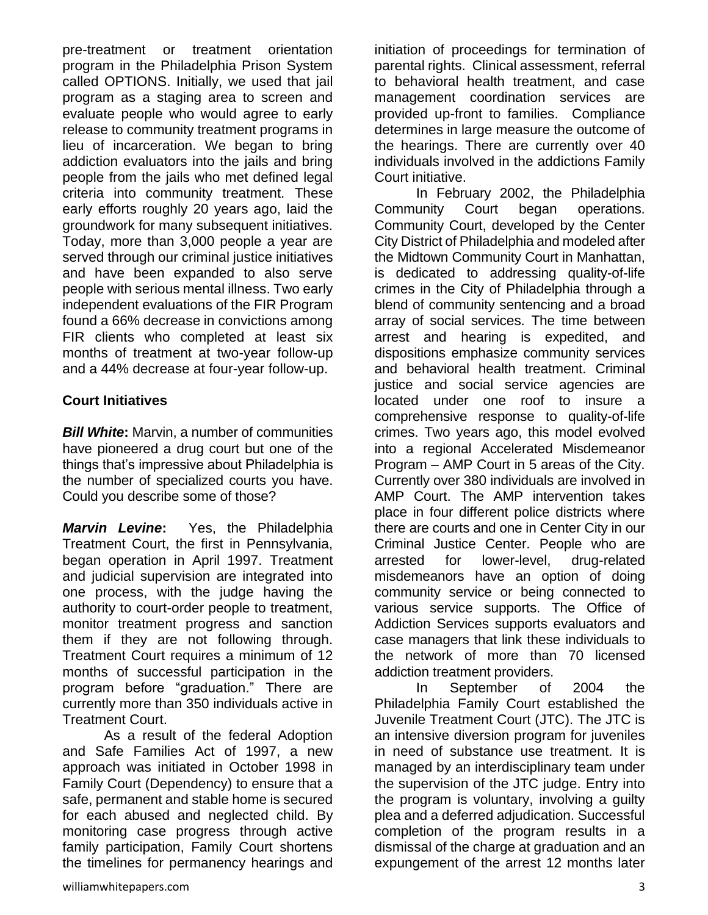pre-treatment or treatment orientation program in the Philadelphia Prison System called OPTIONS. Initially, we used that jail program as a staging area to screen and evaluate people who would agree to early release to community treatment programs in lieu of incarceration. We began to bring addiction evaluators into the jails and bring people from the jails who met defined legal criteria into community treatment. These early efforts roughly 20 years ago, laid the groundwork for many subsequent initiatives. Today, more than 3,000 people a year are served through our criminal justice initiatives and have been expanded to also serve people with serious mental illness. Two early independent evaluations of the FIR Program found a 66% decrease in convictions among FIR clients who completed at least six months of treatment at two-year follow-up and a 44% decrease at four-year follow-up.

## **Court Initiatives**

*Bill White***:** Marvin, a number of communities have pioneered a drug court but one of the things that's impressive about Philadelphia is the number of specialized courts you have. Could you describe some of those?

*Marvin Levine***:** Yes, the Philadelphia Treatment Court, the first in Pennsylvania, began operation in April 1997. Treatment and judicial supervision are integrated into one process, with the judge having the authority to court-order people to treatment, monitor treatment progress and sanction them if they are not following through. Treatment Court requires a minimum of 12 months of successful participation in the program before "graduation." There are currently more than 350 individuals active in Treatment Court.

As a result of the federal Adoption and Safe Families Act of 1997, a new approach was initiated in October 1998 in Family Court (Dependency) to ensure that a safe, permanent and stable home is secured for each abused and neglected child. By monitoring case progress through active family participation, Family Court shortens the timelines for permanency hearings and initiation of proceedings for termination of parental rights. Clinical assessment, referral to behavioral health treatment, and case management coordination services are provided up-front to families. Compliance determines in large measure the outcome of the hearings. There are currently over 40 individuals involved in the addictions Family Court initiative.

In February 2002, the Philadelphia Community Court began operations. Community Court, developed by the Center City District of Philadelphia and modeled after the Midtown Community Court in Manhattan, is dedicated to addressing quality-of-life crimes in the City of Philadelphia through a blend of community sentencing and a broad array of social services. The time between arrest and hearing is expedited, and dispositions emphasize community services and behavioral health treatment. Criminal justice and social service agencies are located under one roof to insure a comprehensive response to quality-of-life crimes. Two years ago, this model evolved into a regional Accelerated Misdemeanor Program – AMP Court in 5 areas of the City. Currently over 380 individuals are involved in AMP Court. The AMP intervention takes place in four different police districts where there are courts and one in Center City in our Criminal Justice Center. People who are arrested for lower-level, drug-related misdemeanors have an option of doing community service or being connected to various service supports. The Office of Addiction Services supports evaluators and case managers that link these individuals to the network of more than 70 licensed addiction treatment providers.

In September of 2004 the Philadelphia Family Court established the Juvenile Treatment Court (JTC). The JTC is an intensive diversion program for juveniles in need of substance use treatment. It is managed by an interdisciplinary team under the supervision of the JTC judge. Entry into the program is voluntary, involving a guilty plea and a deferred adjudication. Successful completion of the program results in a dismissal of the charge at graduation and an expungement of the arrest 12 months later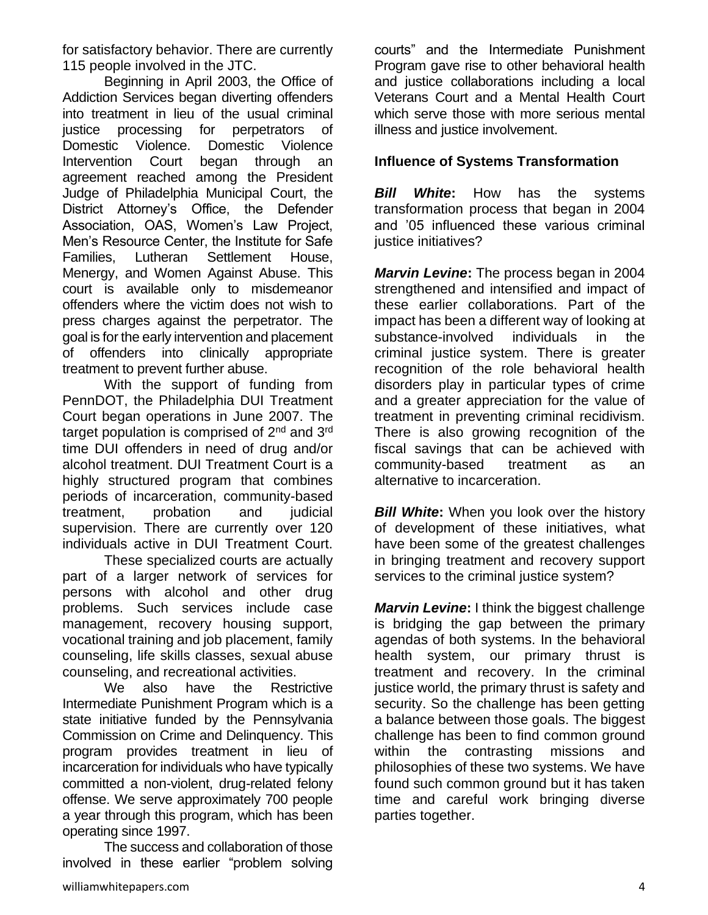for satisfactory behavior. There are currently 115 people involved in the JTC.

Beginning in April 2003, the Office of Addiction Services began diverting offenders into treatment in lieu of the usual criminal justice processing for perpetrators of Domestic Violence. Domestic Violence Intervention Court began through an agreement reached among the President Judge of Philadelphia Municipal Court, the District Attorney's Office, the Defender Association, OAS, Women's Law Project, Men's Resource Center, the Institute for Safe Families, Lutheran Settlement House, Menergy, and Women Against Abuse. This court is available only to misdemeanor offenders where the victim does not wish to press charges against the perpetrator. The goal is for the early intervention and placement of offenders into clinically appropriate treatment to prevent further abuse.

With the support of funding from PennDOT, the Philadelphia DUI Treatment Court began operations in June 2007. The target population is comprised of 2<sup>nd</sup> and 3<sup>rd</sup> time DUI offenders in need of drug and/or alcohol treatment. DUI Treatment Court is a highly structured program that combines periods of incarceration, community-based treatment, probation and judicial supervision. There are currently over 120 individuals active in DUI Treatment Court.

These specialized courts are actually part of a larger network of services for persons with alcohol and other drug problems. Such services include case management, recovery housing support, vocational training and job placement, family counseling, life skills classes, sexual abuse counseling, and recreational activities.

We also have the Restrictive Intermediate Punishment Program which is a state initiative funded by the Pennsylvania Commission on Crime and Delinquency. This program provides treatment in lieu of incarceration for individuals who have typically committed a non-violent, drug-related felony offense. We serve approximately 700 people a year through this program, which has been operating since 1997.

The success and collaboration of those involved in these earlier "problem solving

courts" and the Intermediate Punishment Program gave rise to other behavioral health and justice collaborations including a local Veterans Court and a Mental Health Court which serve those with more serious mental illness and justice involvement.

## **Influence of Systems Transformation**

*Bill White***:** How has the systems transformation process that began in 2004 and '05 influenced these various criminal justice initiatives?

*Marvin Levine***:** The process began in 2004 strengthened and intensified and impact of these earlier collaborations. Part of the impact has been a different way of looking at substance-involved individuals in the criminal justice system. There is greater recognition of the role behavioral health disorders play in particular types of crime and a greater appreciation for the value of treatment in preventing criminal recidivism. There is also growing recognition of the fiscal savings that can be achieved with community-based treatment as an alternative to incarceration.

**Bill White:** When you look over the history of development of these initiatives, what have been some of the greatest challenges in bringing treatment and recovery support services to the criminal justice system?

*Marvin Levine***:** I think the biggest challenge is bridging the gap between the primary agendas of both systems. In the behavioral health system, our primary thrust is treatment and recovery. In the criminal justice world, the primary thrust is safety and security. So the challenge has been getting a balance between those goals. The biggest challenge has been to find common ground within the contrasting missions and philosophies of these two systems. We have found such common ground but it has taken time and careful work bringing diverse parties together.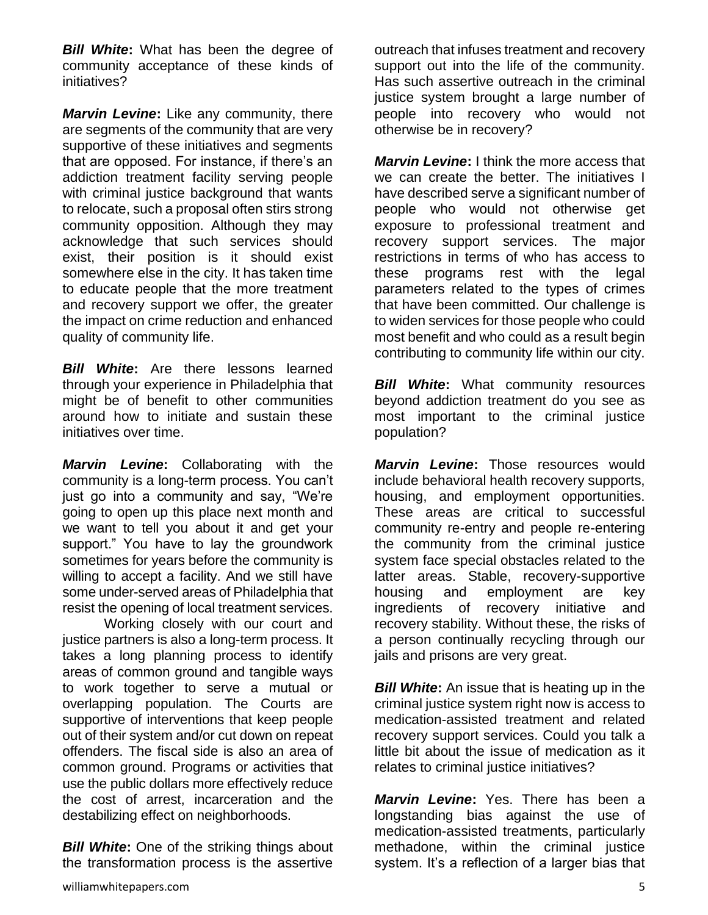*Bill White***:** What has been the degree of community acceptance of these kinds of initiatives?

*Marvin Levine***:** Like any community, there are segments of the community that are very supportive of these initiatives and segments that are opposed. For instance, if there's an addiction treatment facility serving people with criminal justice background that wants to relocate, such a proposal often stirs strong community opposition. Although they may acknowledge that such services should exist, their position is it should exist somewhere else in the city. It has taken time to educate people that the more treatment and recovery support we offer, the greater the impact on crime reduction and enhanced quality of community life.

*Bill White***:** Are there lessons learned through your experience in Philadelphia that might be of benefit to other communities around how to initiate and sustain these initiatives over time.

*Marvin Levine***:** Collaborating with the community is a long-term process. You can't just go into a community and say, "We're going to open up this place next month and we want to tell you about it and get your support." You have to lay the groundwork sometimes for years before the community is willing to accept a facility. And we still have some under-served areas of Philadelphia that resist the opening of local treatment services.

Working closely with our court and justice partners is also a long-term process. It takes a long planning process to identify areas of common ground and tangible ways to work together to serve a mutual or overlapping population. The Courts are supportive of interventions that keep people out of their system and/or cut down on repeat offenders. The fiscal side is also an area of common ground. Programs or activities that use the public dollars more effectively reduce the cost of arrest, incarceration and the destabilizing effect on neighborhoods.

**Bill White:** One of the striking things about the transformation process is the assertive

*Marvin Levine***:** I think the more access that we can create the better. The initiatives I have described serve a significant number of people who would not otherwise get exposure to professional treatment and recovery support services. The major restrictions in terms of who has access to these programs rest with the legal parameters related to the types of crimes that have been committed. Our challenge is to widen services for those people who could most benefit and who could as a result begin contributing to community life within our city.

*Bill White***:** What community resources beyond addiction treatment do you see as most important to the criminal justice population?

*Marvin Levine***:** Those resources would include behavioral health recovery supports, housing, and employment opportunities. These areas are critical to successful community re-entry and people re-entering the community from the criminal justice system face special obstacles related to the latter areas. Stable, recovery-supportive housing and employment are key ingredients of recovery initiative and recovery stability. Without these, the risks of a person continually recycling through our jails and prisons are very great.

*Bill White:* An issue that is heating up in the criminal justice system right now is access to medication-assisted treatment and related recovery support services. Could you talk a little bit about the issue of medication as it relates to criminal justice initiatives?

*Marvin Levine***:** Yes. There has been a longstanding bias against the use of medication-assisted treatments, particularly methadone, within the criminal justice system. It's a reflection of a larger bias that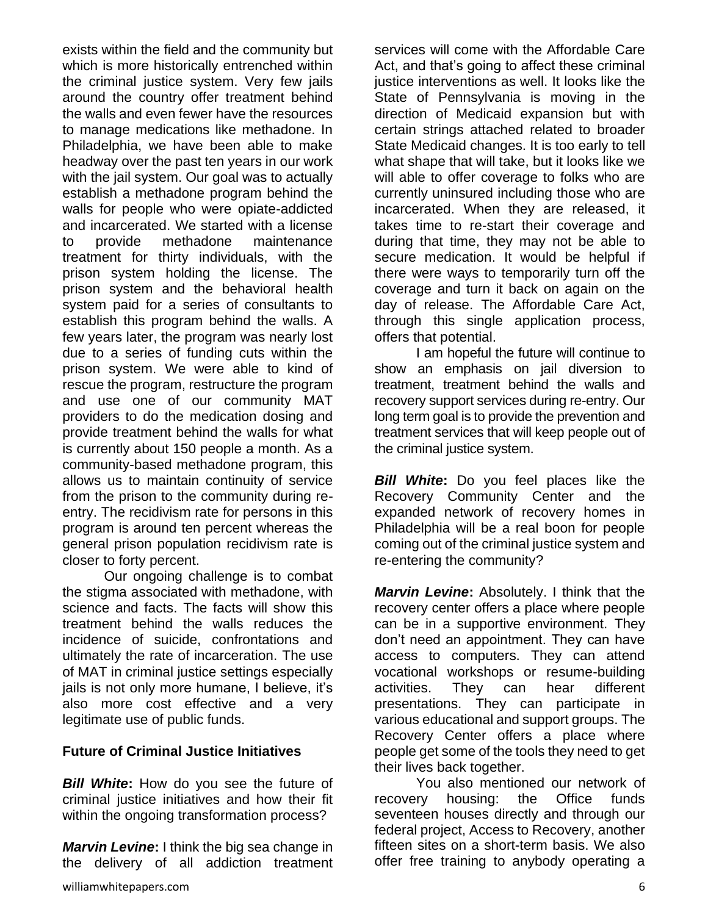exists within the field and the community but which is more historically entrenched within the criminal justice system. Very few jails around the country offer treatment behind the walls and even fewer have the resources to manage medications like methadone. In Philadelphia, we have been able to make headway over the past ten years in our work with the jail system. Our goal was to actually establish a methadone program behind the walls for people who were opiate-addicted and incarcerated. We started with a license to provide methadone maintenance treatment for thirty individuals, with the prison system holding the license. The prison system and the behavioral health system paid for a series of consultants to establish this program behind the walls. A few years later, the program was nearly lost due to a series of funding cuts within the prison system. We were able to kind of rescue the program, restructure the program and use one of our community MAT providers to do the medication dosing and provide treatment behind the walls for what is currently about 150 people a month. As a community-based methadone program, this allows us to maintain continuity of service from the prison to the community during reentry. The recidivism rate for persons in this program is around ten percent whereas the general prison population recidivism rate is closer to forty percent.

Our ongoing challenge is to combat the stigma associated with methadone, with science and facts. The facts will show this treatment behind the walls reduces the incidence of suicide, confrontations and ultimately the rate of incarceration. The use of MAT in criminal justice settings especially jails is not only more humane, I believe, it's also more cost effective and a very legitimate use of public funds.

#### **Future of Criminal Justice Initiatives**

*Bill White***:** How do you see the future of criminal justice initiatives and how their fit within the ongoing transformation process?

*Marvin Levine***:** I think the big sea change in the delivery of all addiction treatment services will come with the Affordable Care Act, and that's going to affect these criminal justice interventions as well. It looks like the State of Pennsylvania is moving in the direction of Medicaid expansion but with certain strings attached related to broader State Medicaid changes. It is too early to tell what shape that will take, but it looks like we will able to offer coverage to folks who are currently uninsured including those who are incarcerated. When they are released, it takes time to re-start their coverage and during that time, they may not be able to secure medication. It would be helpful if there were ways to temporarily turn off the coverage and turn it back on again on the day of release. The Affordable Care Act, through this single application process, offers that potential.

I am hopeful the future will continue to show an emphasis on jail diversion to treatment, treatment behind the walls and recovery support services during re-entry. Our long term goal is to provide the prevention and treatment services that will keep people out of the criminal justice system.

*Bill White*: Do you feel places like the Recovery Community Center and the expanded network of recovery homes in Philadelphia will be a real boon for people coming out of the criminal justice system and re-entering the community?

*Marvin Levine***:** Absolutely. I think that the recovery center offers a place where people can be in a supportive environment. They don't need an appointment. They can have access to computers. They can attend vocational workshops or resume-building activities. They can hear different presentations. They can participate in various educational and support groups. The Recovery Center offers a place where people get some of the tools they need to get their lives back together.

You also mentioned our network of recovery housing: the Office funds seventeen houses directly and through our federal project, Access to Recovery, another fifteen sites on a short-term basis. We also offer free training to anybody operating a